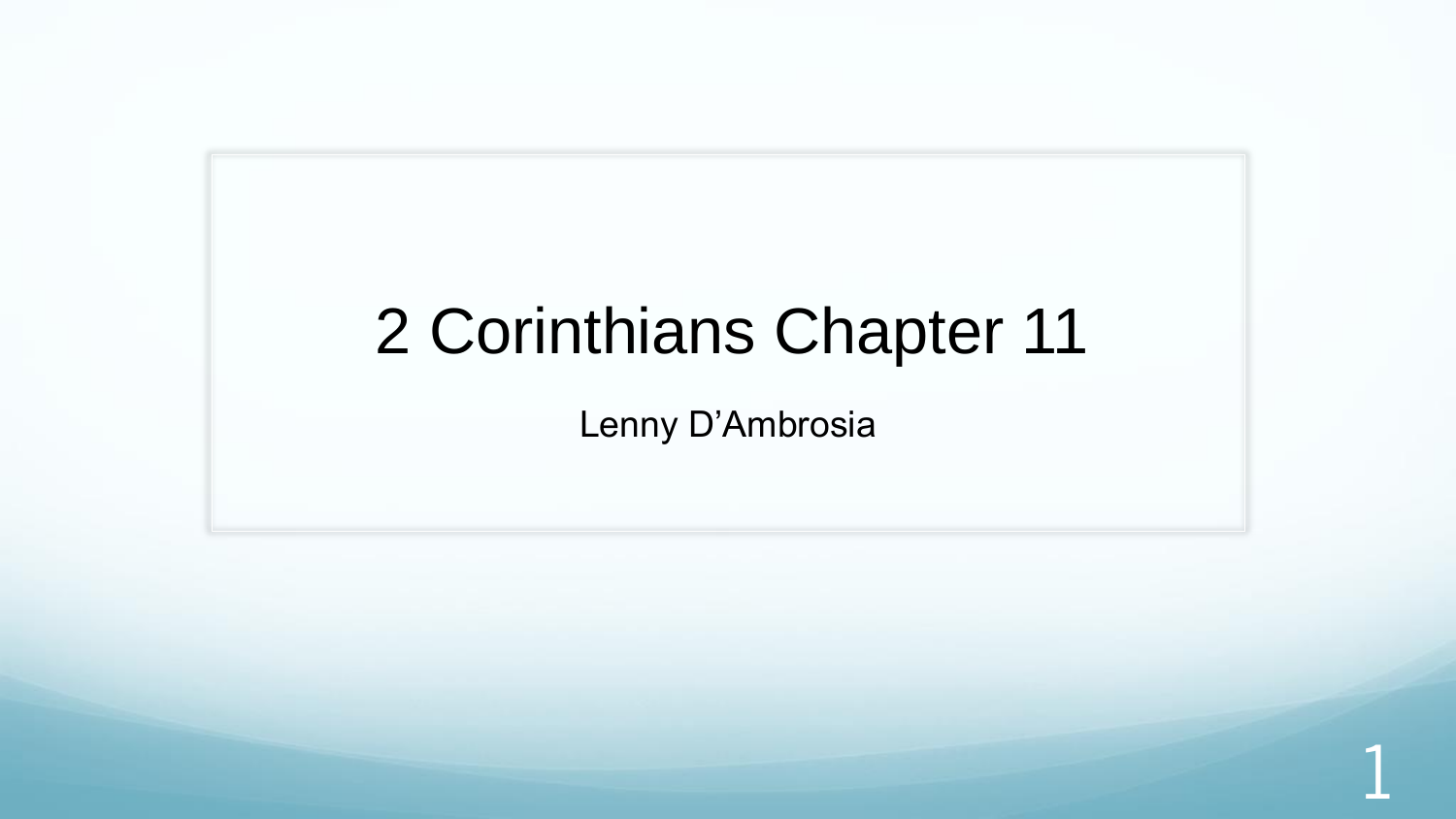### 2 Corinthians Chapter 11

Lenny D'Ambrosia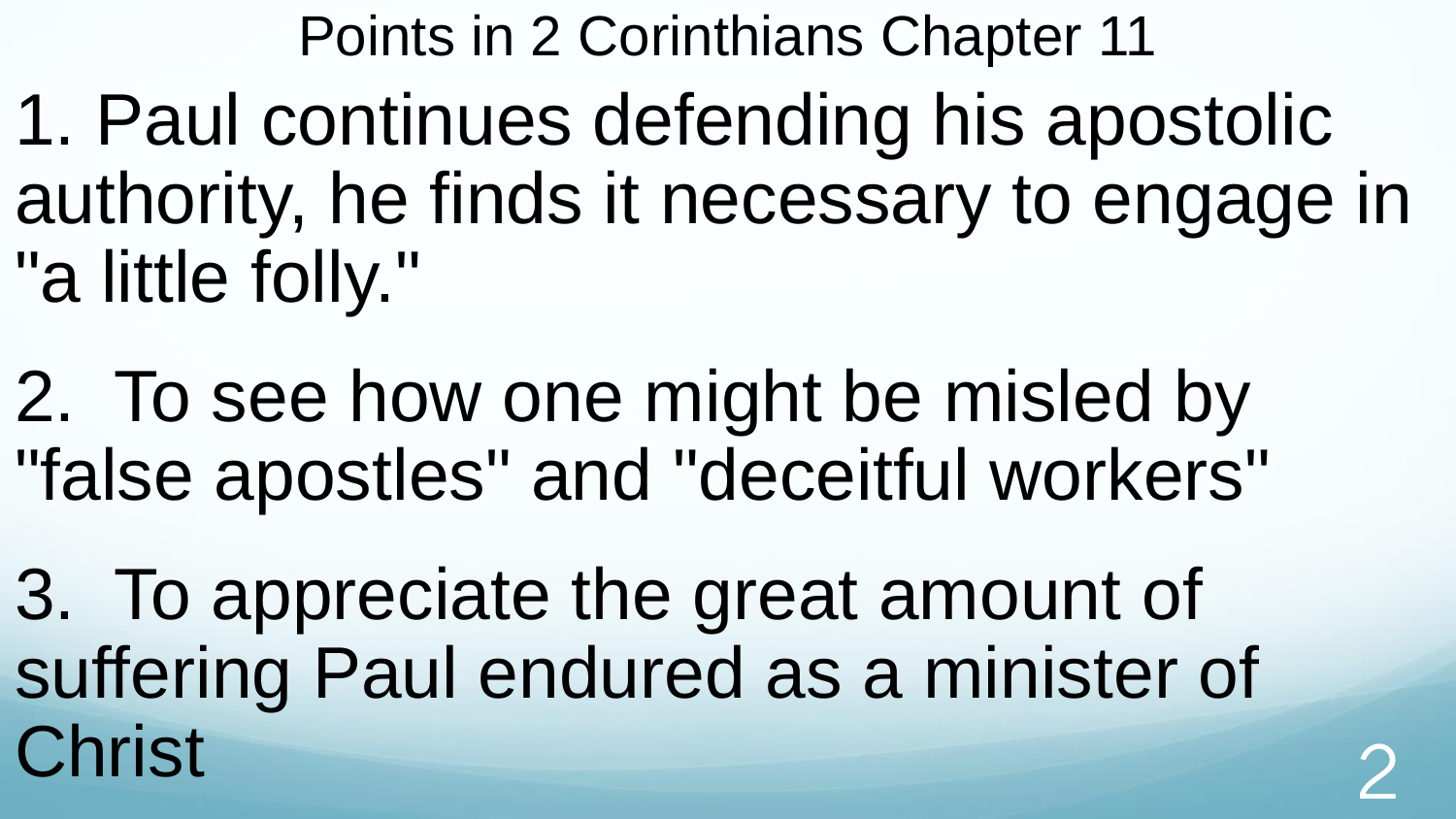Points in 2 Corinthians Chapter 11

1. Paul continues defending his apostolic authority, he finds it necessary to engage in "a little folly."

2. To see how one might be misled by "false apostles" and "deceitful workers"

3. To appreciate the great amount of suffering Paul endured as a minister of Christ 2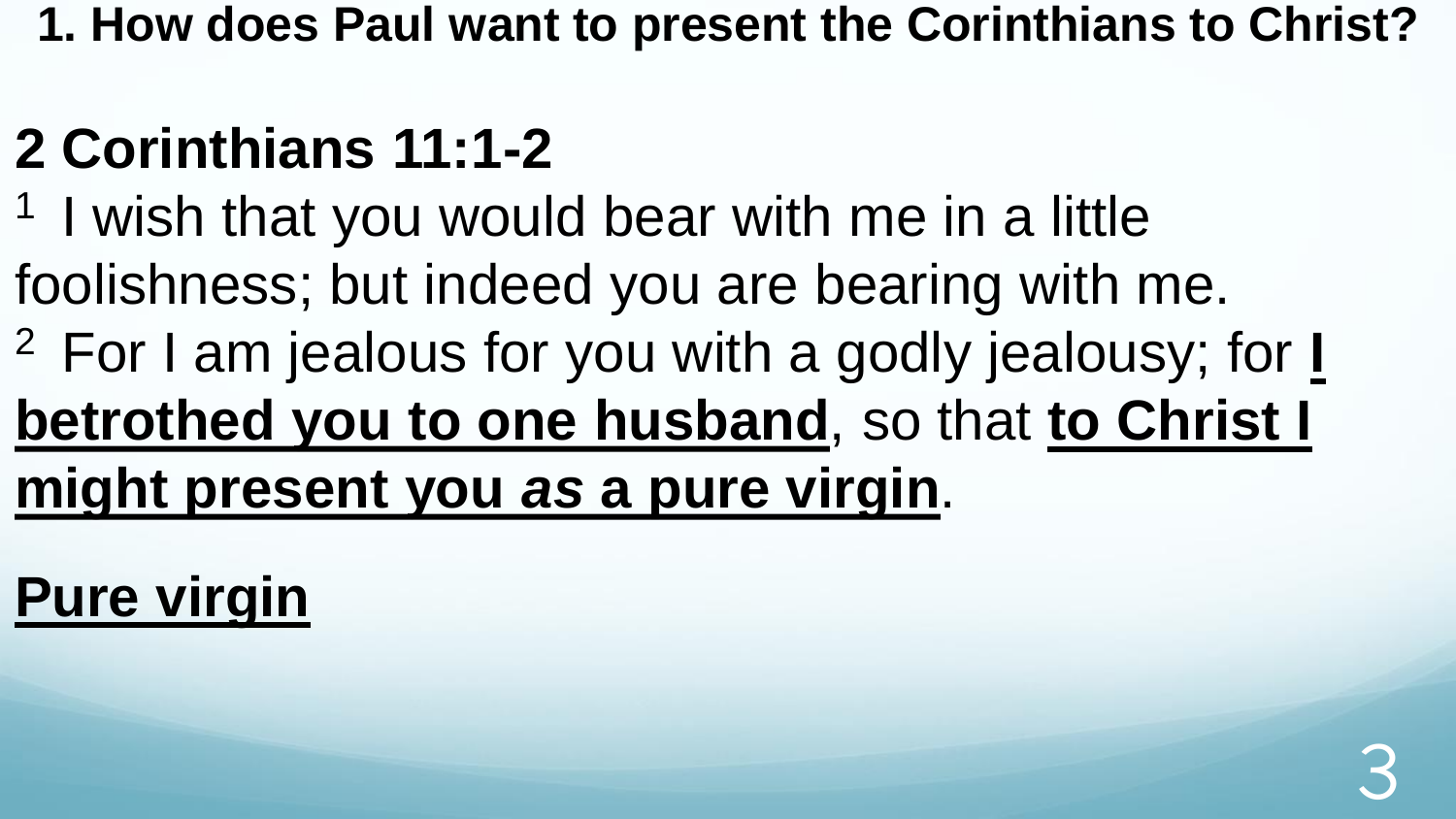**1. How does Paul want to present the Corinthians to Christ?**

### **2 Corinthians 11:1-2**

- <sup>1</sup> I wish that you would bear with me in a little foolishness; but indeed you are bearing with me.
- <sup>2</sup>For I am jealous for you with a godly jealousy; for **I betrothed you to one husband**, so that **to Christ I might present you** *as* **a pure virgin**.

### **Pure virgin**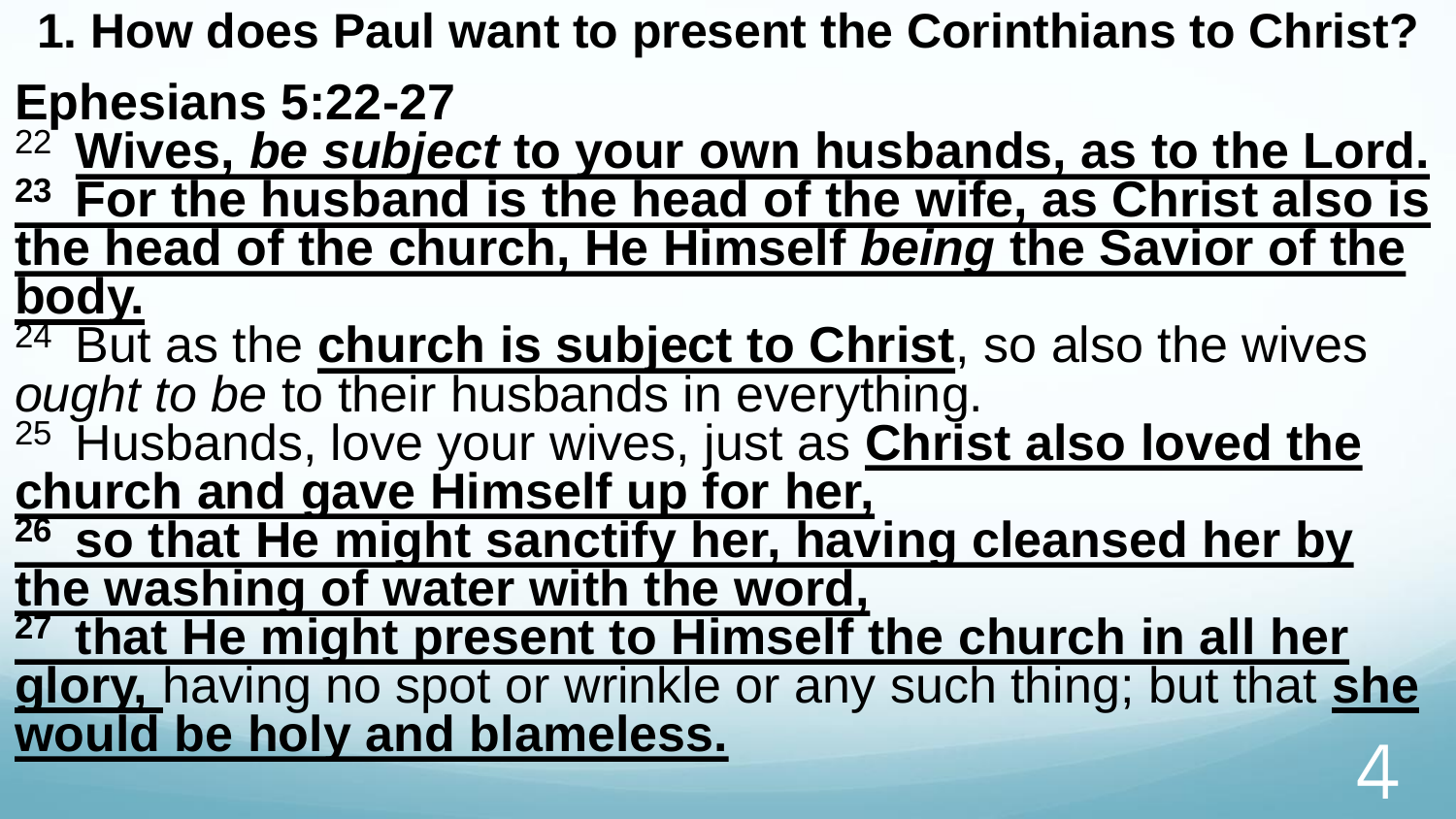**1. How does Paul want to present the Corinthians to Christ?**

**Ephesians 5:22-27**

<sup>22</sup>**Wives,** *be subject* **to your own husbands, as to the Lord. <sup>23</sup>For the husband is the head of the wife, as Christ also is the head of the church, He Himself** *being* **the Savior of the body.** 

<sup>24</sup> But as the **church is subject to Christ**, so also the wives *ought to be* to their husbands in everything.

<sup>25</sup> Husbands, love your wives, just as **Christ also loved the church and gave Himself up for her,** 

**<sup>26</sup>so that He might sanctify her, having cleansed her by the washing of water with the word,** 

**<sup>27</sup>that He might present to Himself the church in all her glory,** having no spot or wrinkle or any such thing; but that **she would be holy and blameless.** 4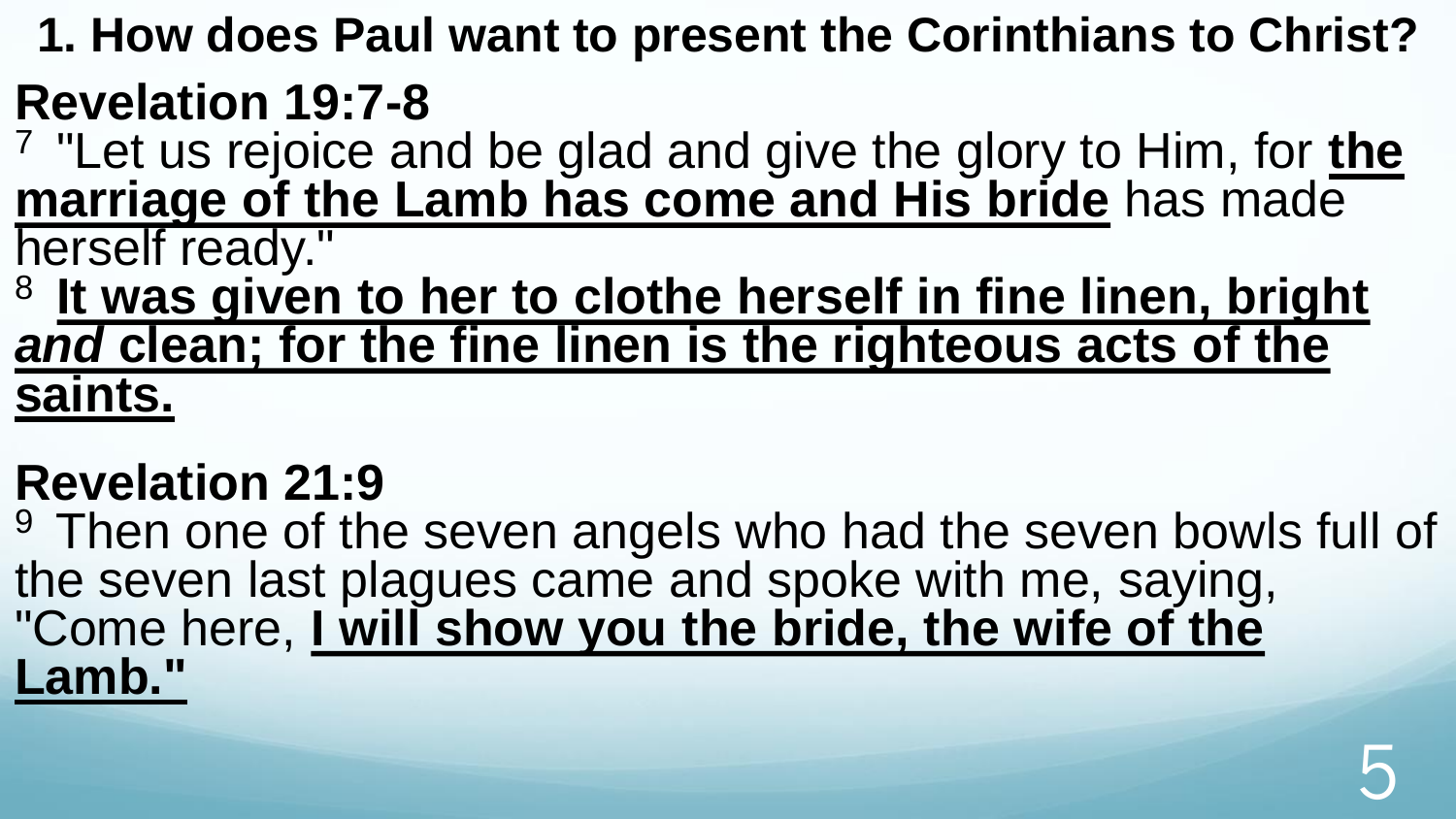**1. How does Paul want to present the Corinthians to Christ?**

#### **Revelation 19:7-8**

<sup>7</sup>"Let us rejoice and be glad and give the glory to Him, for **the marriage of the Lamb has come and His bride** has made herself ready."

<sup>8</sup>**It was given to her to clothe herself in fine linen, bright**  *and* **clean; for the fine linen is the righteous acts of the saints.** 

#### **Revelation 21:9**

<sup>9</sup> Then one of the seven angels who had the seven bowls full of the seven last plagues came and spoke with me, saying, "Come here, I will show you the bride, the wife of the **Lamb."**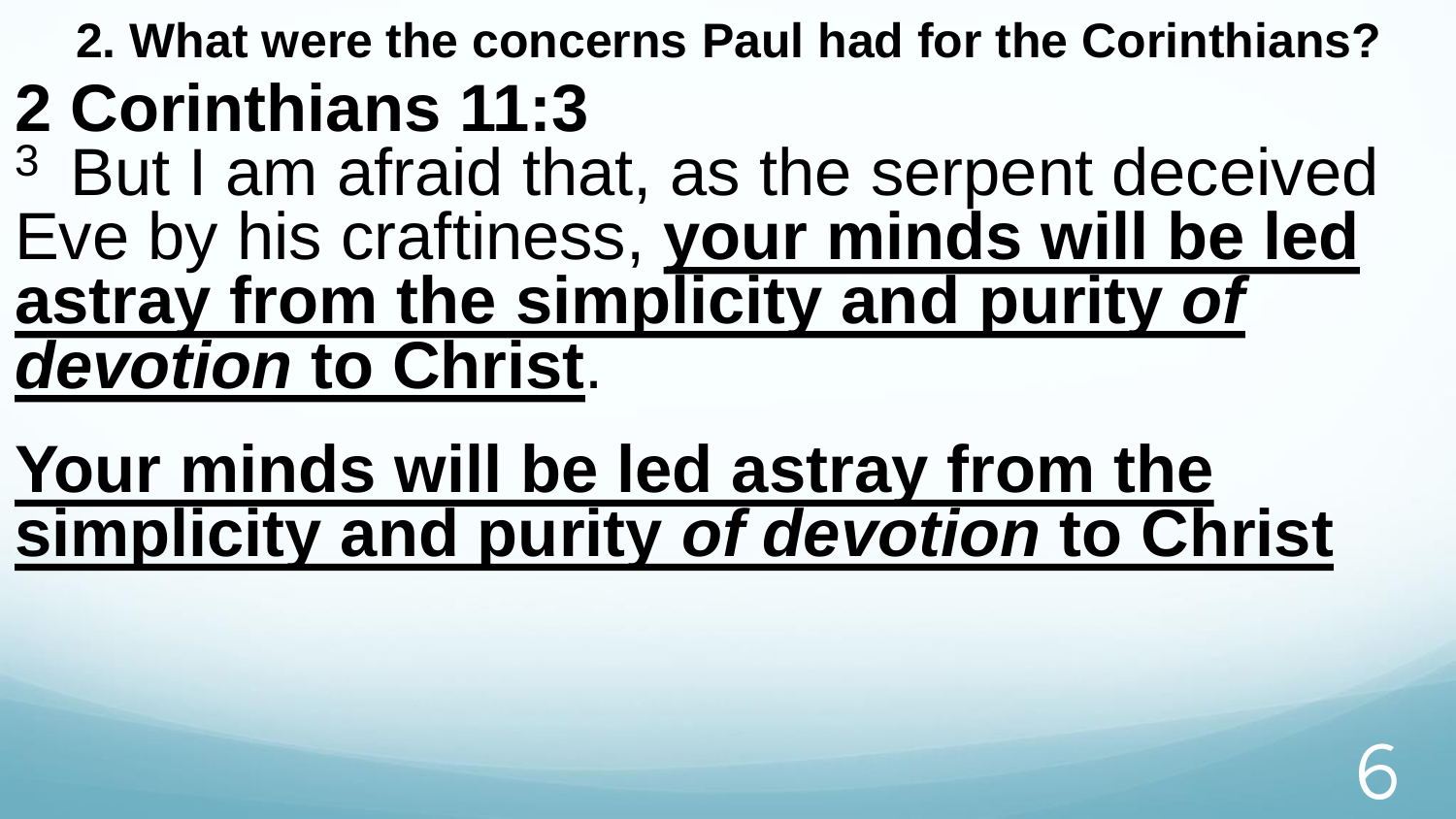**2. What were the concerns Paul had for the Corinthians?** 

### **2 Corinthians 11:3**

<sup>3</sup> But I am afraid that, as the serpent deceived Eve by his craftiness, **your minds will be led astray from the simplicity and purity** *of devotion* **to Christ**.

**Your minds will be led astray from the simplicity and purity** *of devotion* **to Christ**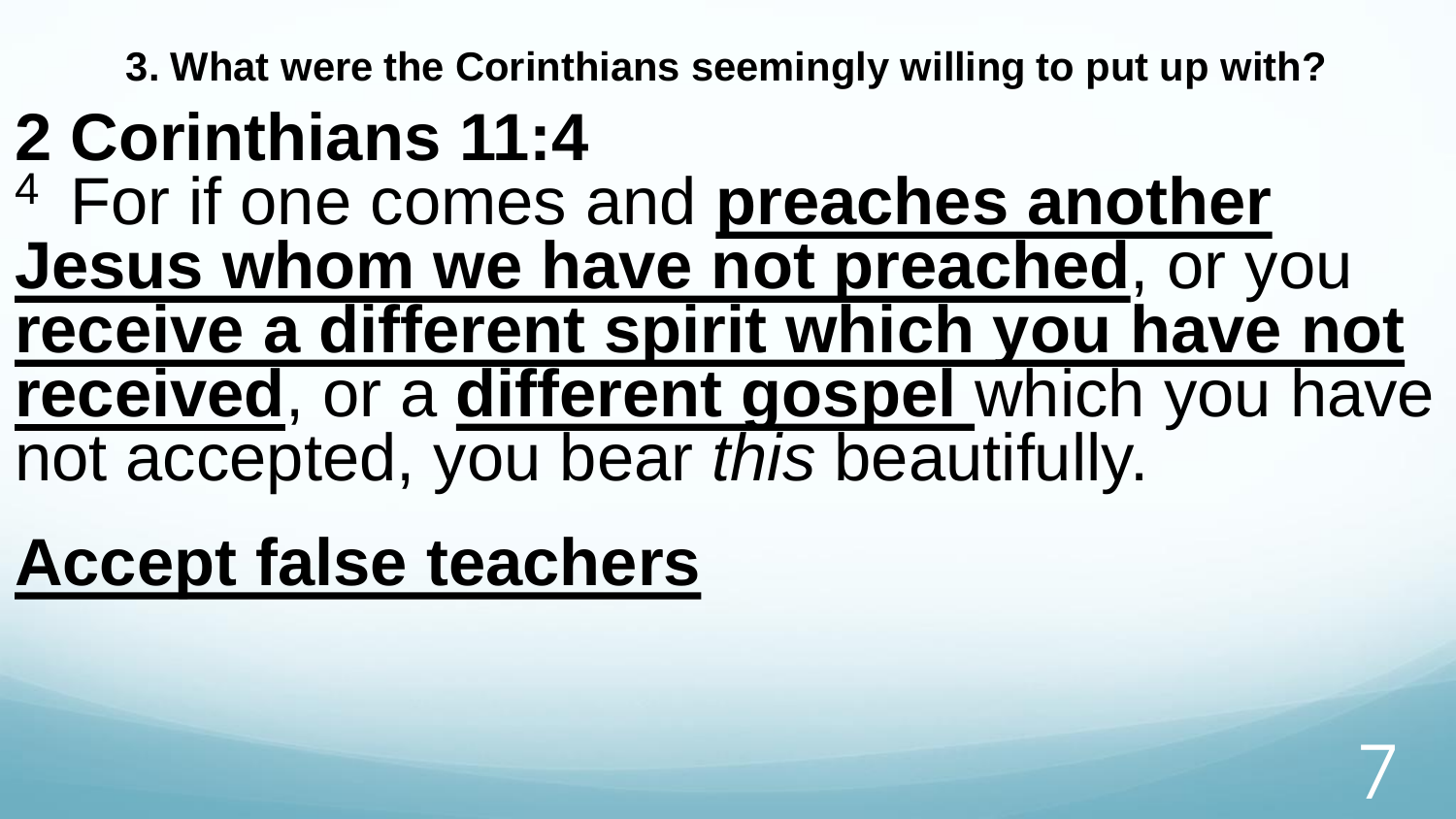**3. What were the Corinthians seemingly willing to put up with?**

### **2 Corinthians 11:4**  <sup>4</sup> For if one comes and **preaches another Jesus whom we have not preached**, or you **receive a different spirit which you have not received**, or a **different gospel** which you have not accepted, you bear *this* beautifully.

7

**Accept false teachers**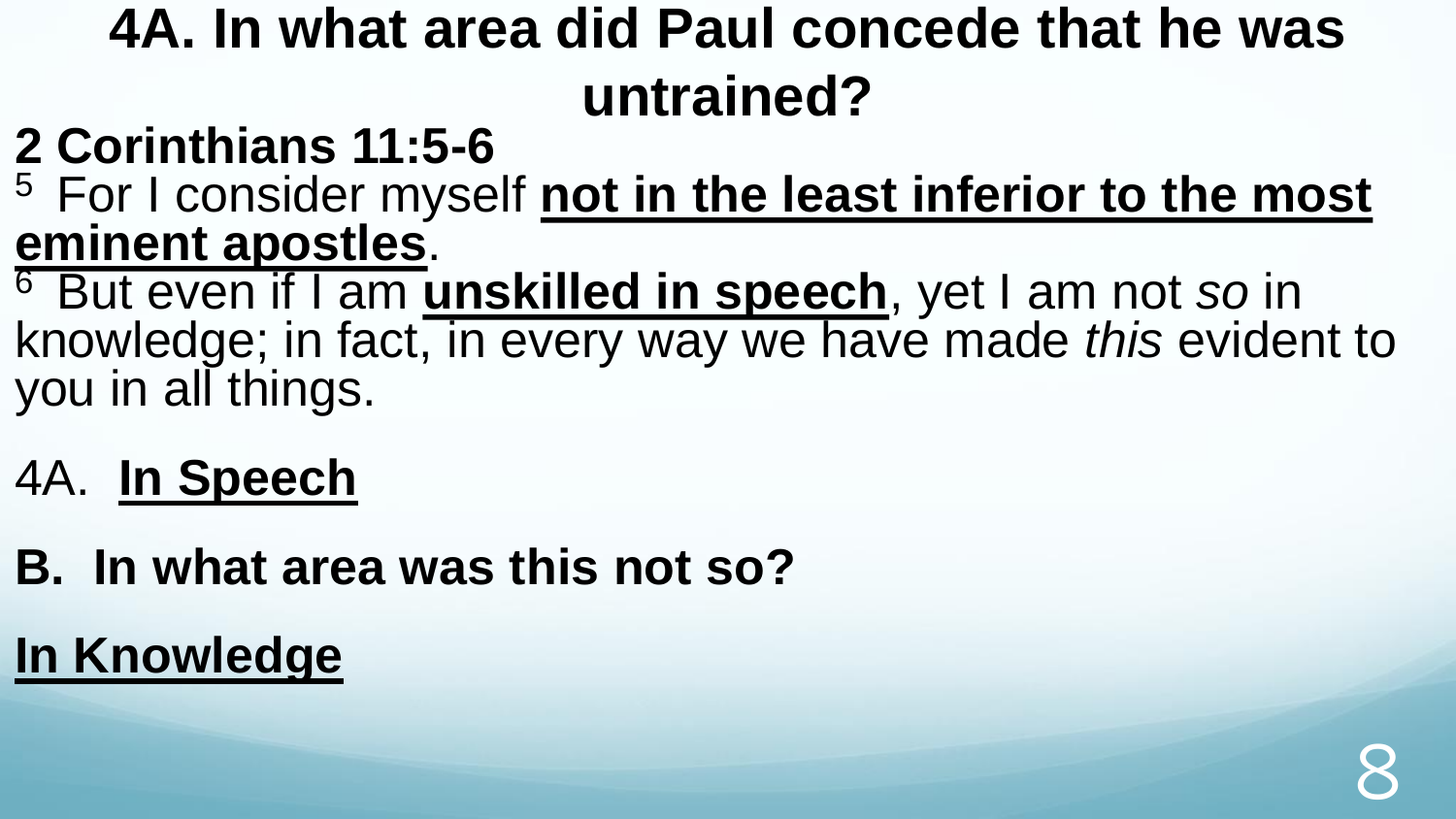#### **4A. In what area did Paul concede that he was untrained?**

#### **2 Corinthians 11:5-6**

<sup>5</sup> For I consider myself not in the least inferior to the most **eminent apostles**.

<sup>6</sup>But even if I am **unskilled in speech**, yet I am not *so* in knowledge; in fact, in every way we have made *this* evident to you in all things.

#### 4A. **In Speech**

**B. In what area was this not so?**

#### **In Knowledge**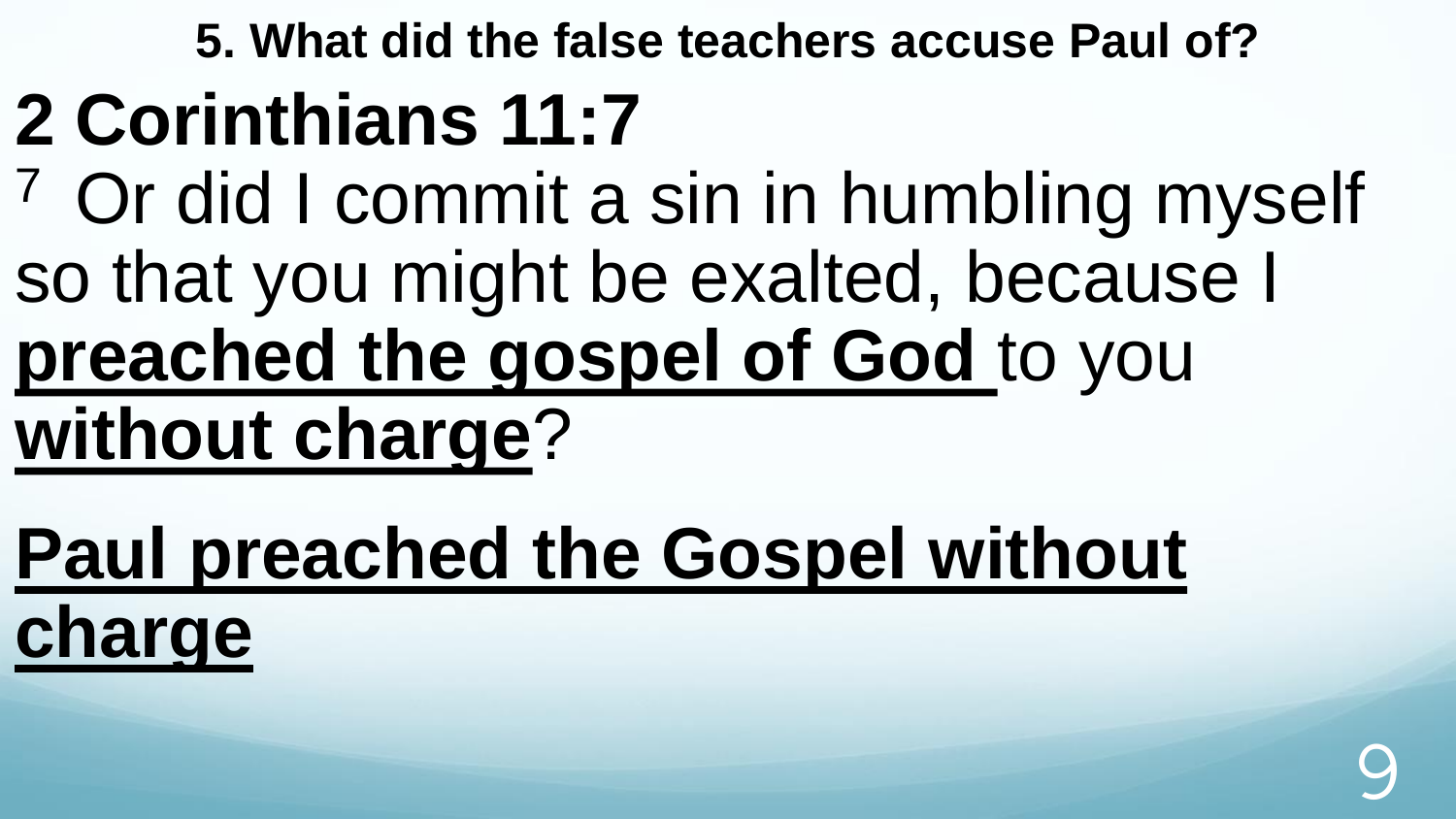**5. What did the false teachers accuse Paul of?** 

# **2 Corinthians 11:7**

<sup>7</sup> Or did I commit a sin in humbling myself so that you might be exalted, because I **preached the gospel of God** to you

**without charge**?

**Paul preached the Gospel without charge**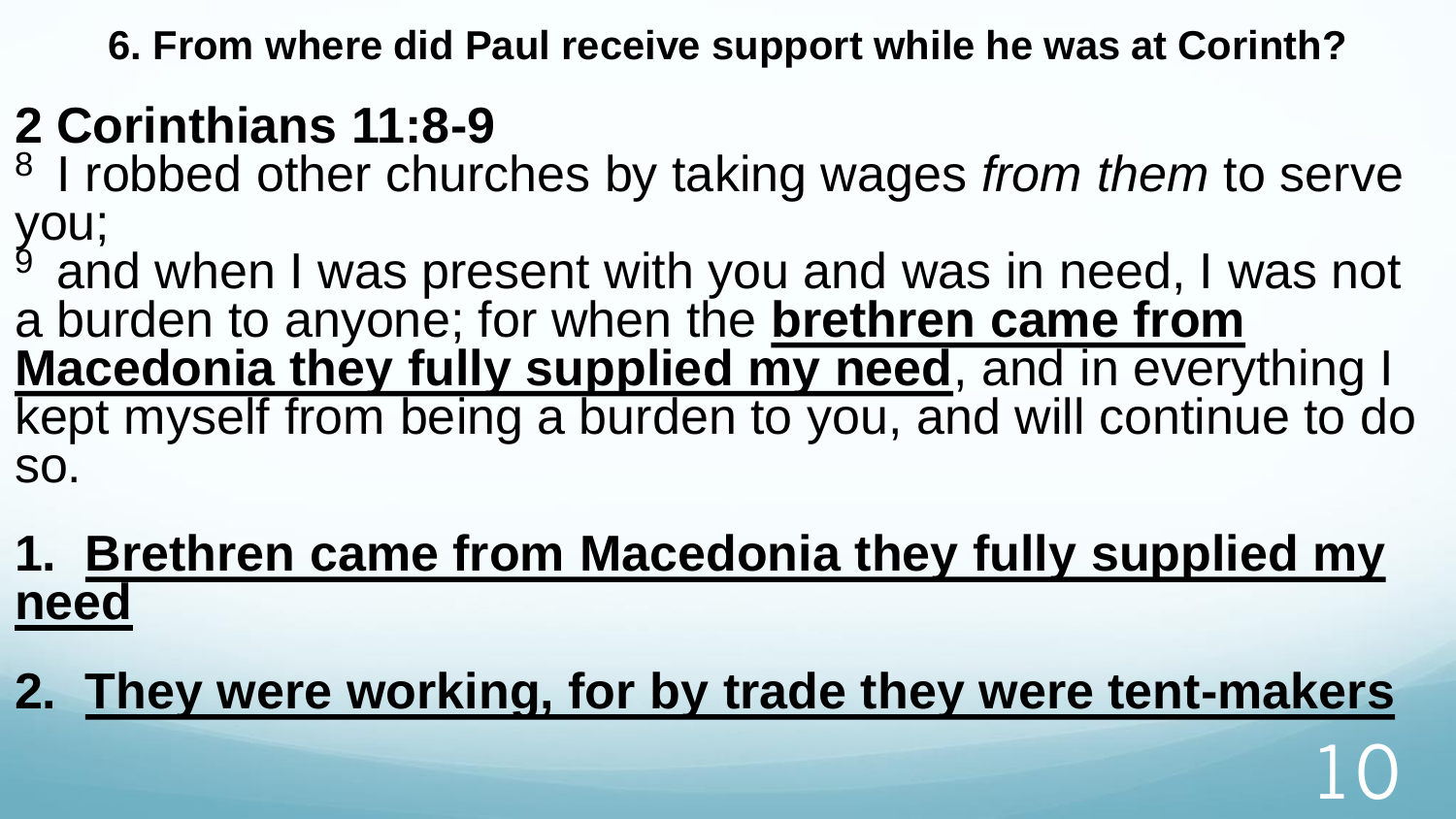**6. From where did Paul receive support while he was at Corinth?** 

#### **2 Corinthians 11:8-9**

<sup>8</sup> I robbed other churches by taking wages *from them* to serve you;

 $9^9$  and when I was present with you and was in need, I was not a burden to anyone; for when the **brethren came from Macedonia they fully supplied my need**, and in everything I kept myself from being a burden to you, and will continue to do so.

#### **1. Brethren came from Macedonia they fully supplied my need**

#### **2. They were working, for by trade they were tent-makers**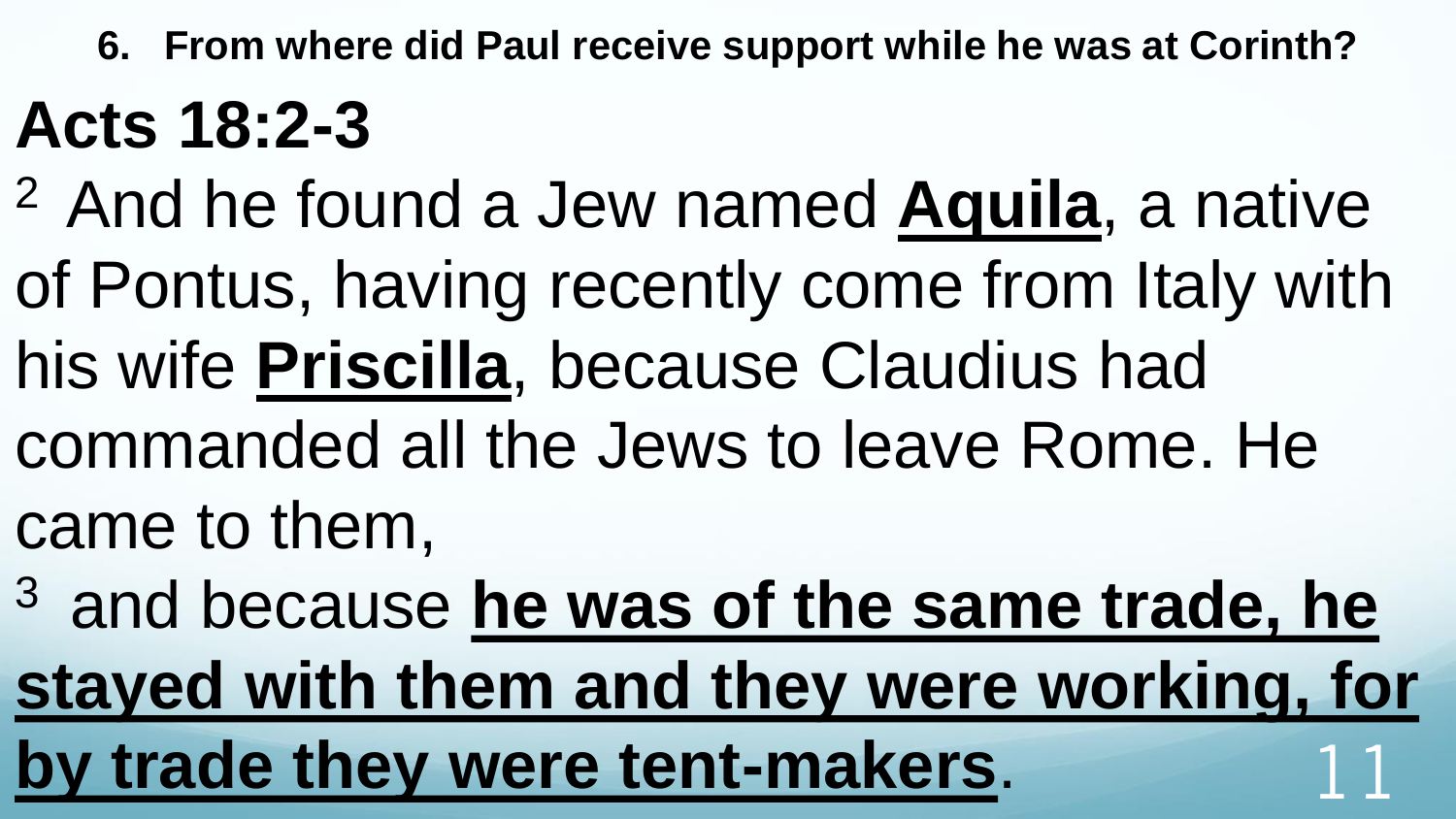**6. From where did Paul receive support while he was at Corinth?** 

## **Acts 18:2-3**

- <sup>2</sup>And he found a Jew named **Aquila**, a native
- of Pontus, having recently come from Italy with
- his wife **Priscilla**, because Claudius had
- commanded all the Jews to leave Rome. He came to them,
- <sup>3</sup> and because he was of the same trade, he **stayed with them and they were working, for**  by trade they were tent-makers.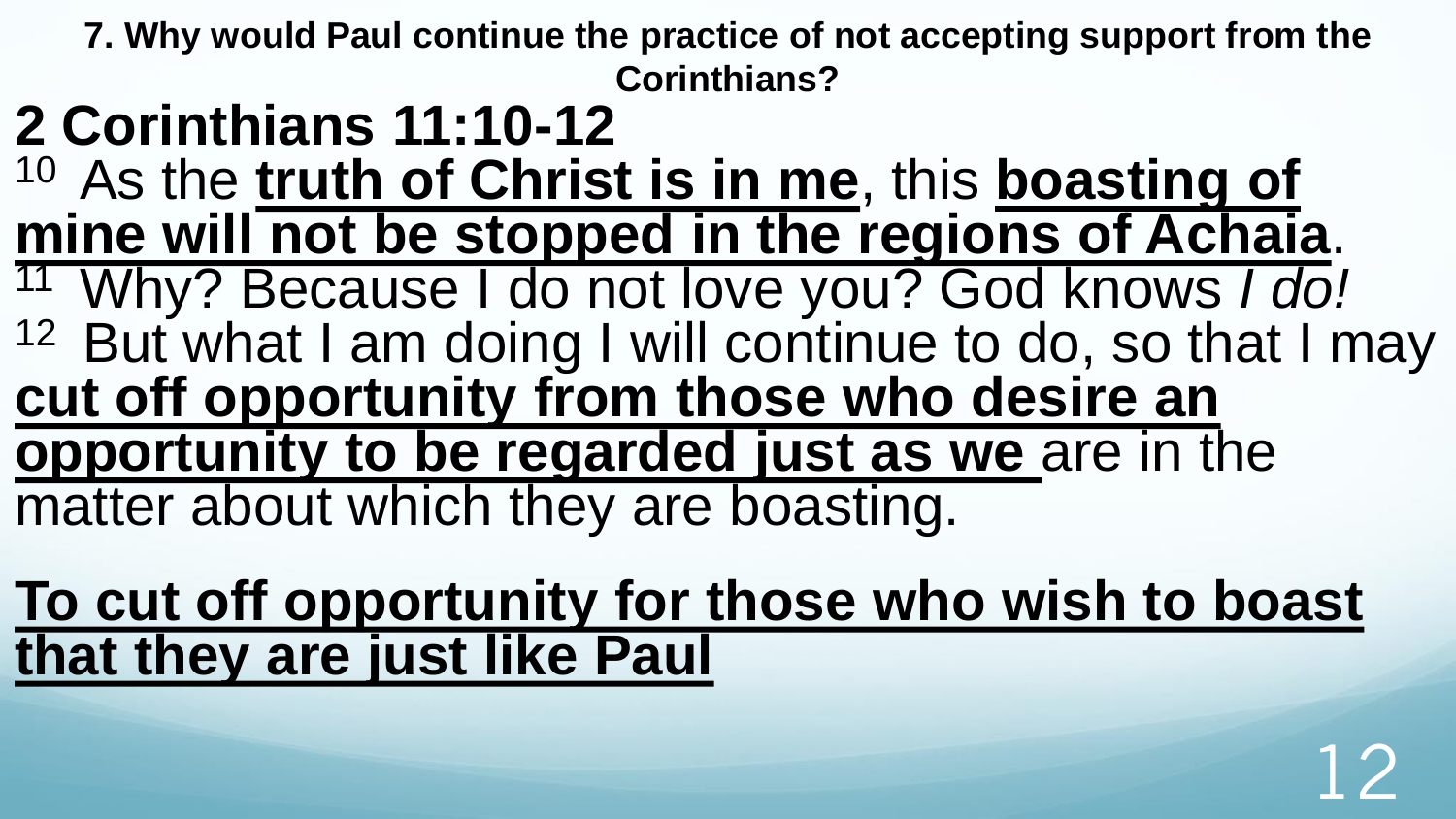**7. Why would Paul continue the practice of not accepting support from the Corinthians?** 

#### **2 Corinthians 11:10-12**

- 10 As the **truth of Christ is in me**, this **boasting of mine will not be stopped in the regions of Achaia**.
- <sup>11</sup>Why? Because I do not love you? God knows *I do!* <sup>12</sup> But what I am doing I will continue to do, so that I may **cut off opportunity from those who desire an opportunity to be regarded just as we** are in the matter about which they are boasting.

**To cut off opportunity for those who wish to boast that they are just like Paul**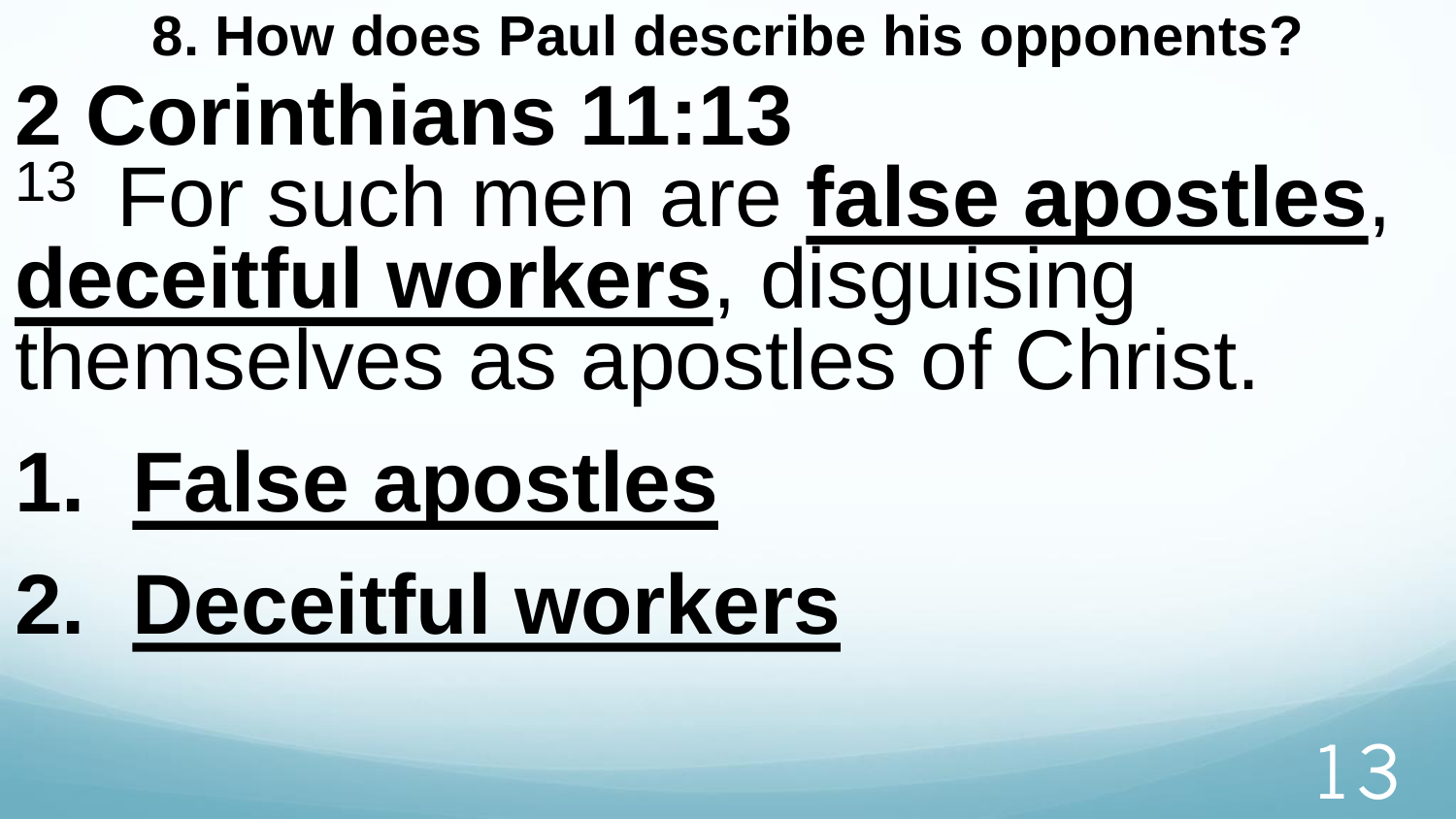# **8. How does Paul describe his opponents? 2 Corinthians 11:13**  <sup>13</sup> For such men are **false apostles**, **deceitful workers**, disguising themselves as apostles of Christ.

- **1. False apostles**
- **2. Deceitful workers**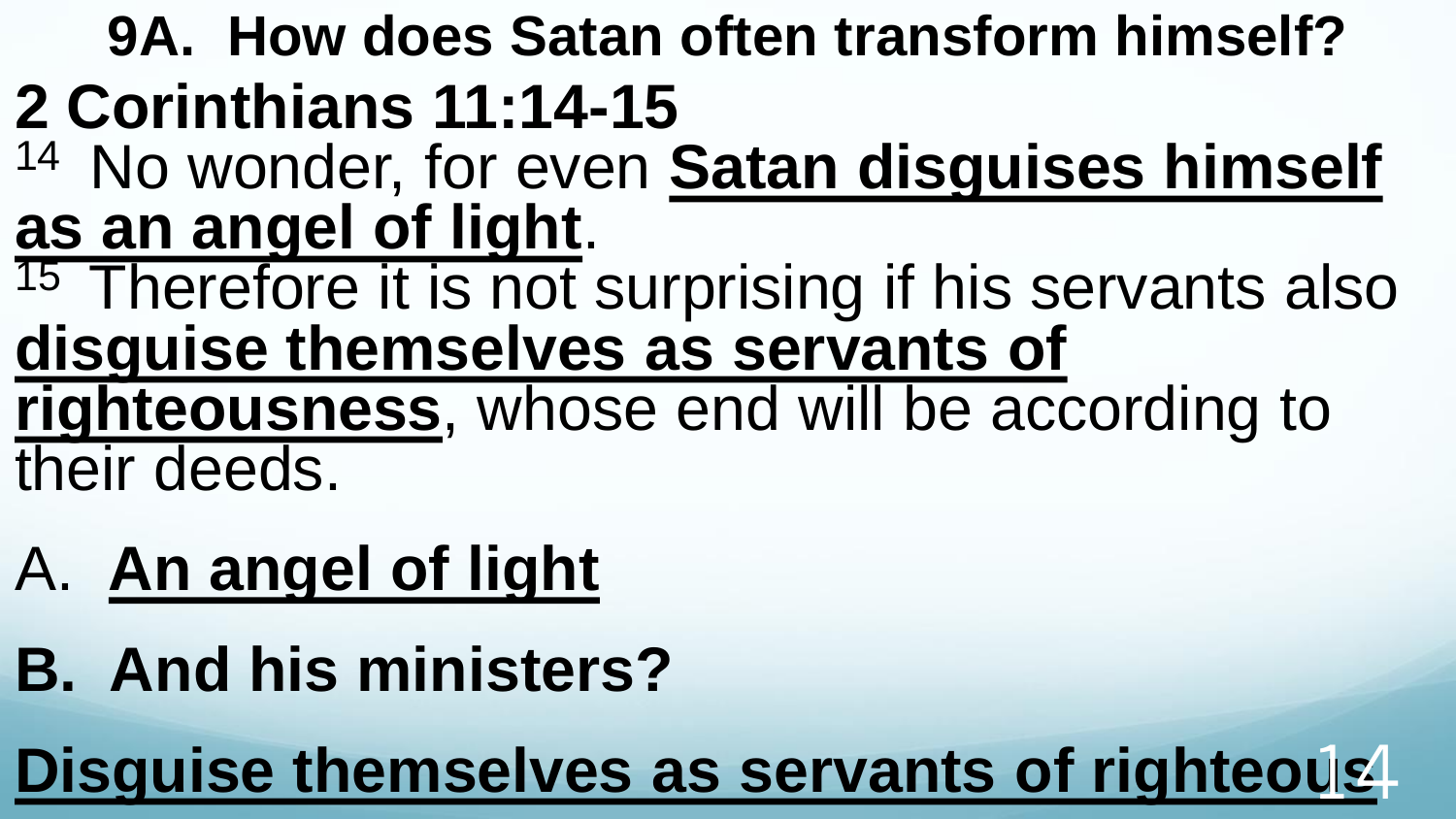#### **9A. How does Satan often transform himself? 2 Corinthians 11:14-15**

- <sup>14</sup> No wonder, for even Satan disguises himself **as an angel of light**.
- <sup>15</sup> Therefore it is not surprising if his servants also **disguise themselves as servants of righteousness**, whose end will be according to their deeds.
- A. **An angel of light**
- **B. And his ministers?**

**Disguise themselves as servants of righteous**14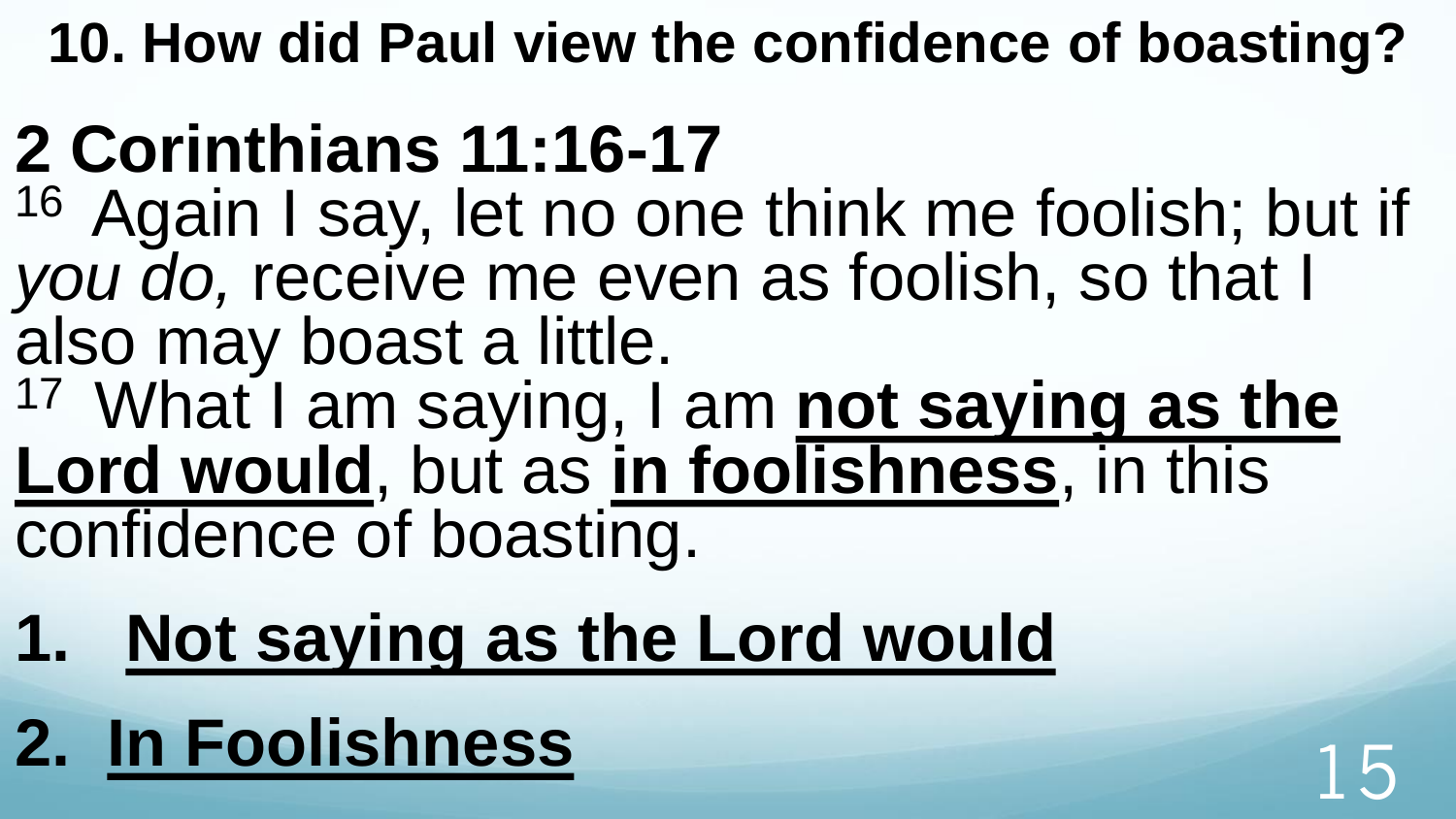**10. How did Paul view the confidence of boasting?**

# **2 Corinthians 11:16-17**

<sup>16</sup> Again I say, let no one think me foolish; but if *you do,* receive me even as foolish, so that I also may boast a little.

<sup>17</sup> What I am saying, I am **not saying as the Lord would**, but as **in foolishness**, in this confidence of boasting.

# **1. Not saying as the Lord would**

# **2. In Foolishness**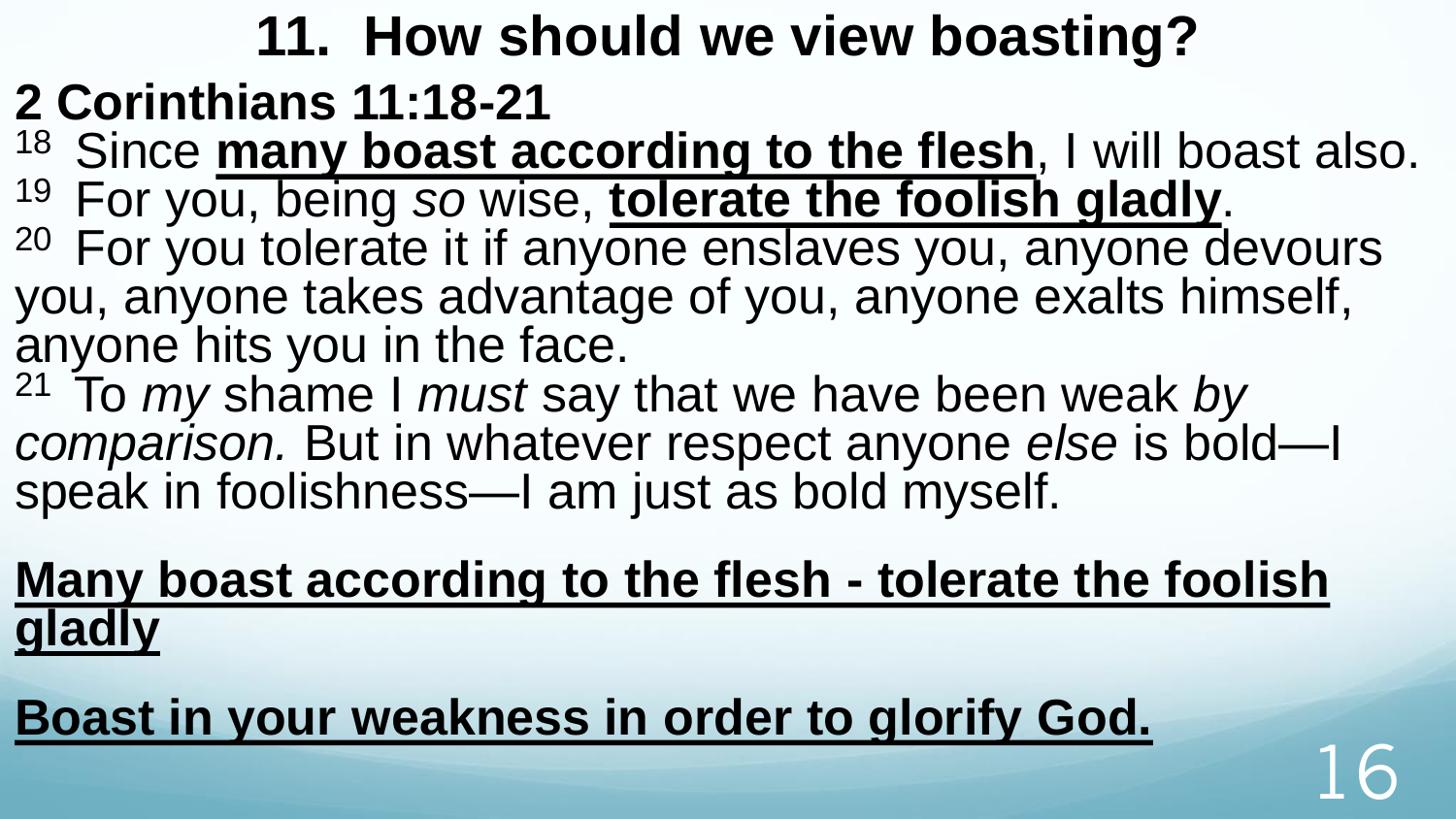### **11. How should we view boasting?**

- **2 Corinthians 11:18-21**
- <sup>18</sup> Since **many boast according to the flesh**, I will boast also. <sup>19</sup>For you, being *so* wise, **tolerate the foolish gladly**.
- <sup>20</sup> For you tolerate it if anyone enslaves you, anyone devours you, anyone takes advantage of you, anyone exalts himself, anyone hits you in the face.
- <sup>21</sup>To *my* shame I *must* say that we have been weak *by comparison.* But in whatever respect anyone *else* is bold—I speak in foolishness—I am just as bold myself.
- **Many boast according to the flesh - tolerate the foolish gladly**
- **Boast in your weakness in order to glorify God.**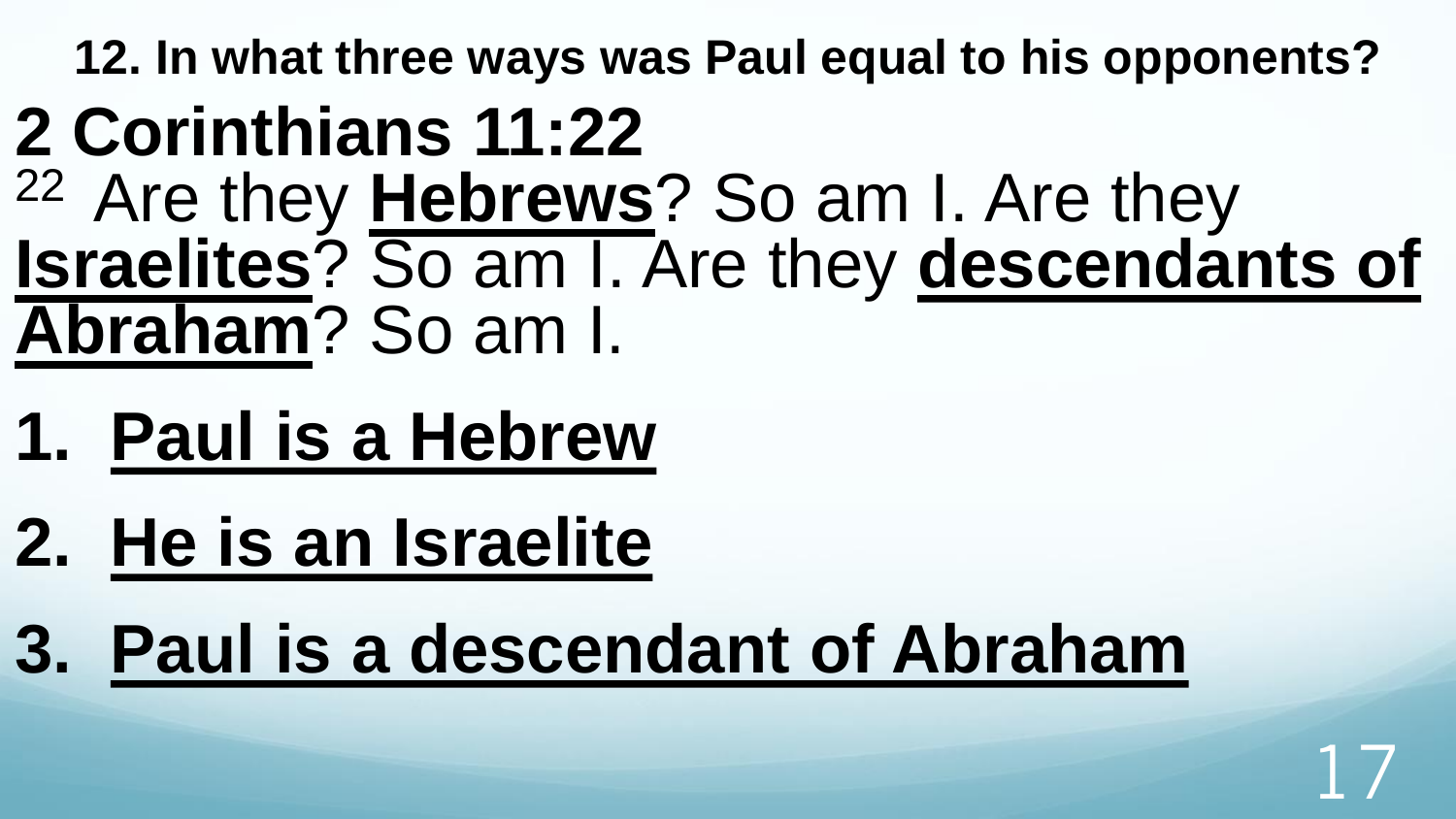### **2 Corinthians 11:22**  <sup>22</sup>Are they **Hebrews**? So am I. Are they **Israelites**? So am I. Are they **descendants of Abraham**? So am I.

- **1. Paul is a Hebrew**
- **2. He is an Israelite**
- **3. Paul is a descendant of Abraham**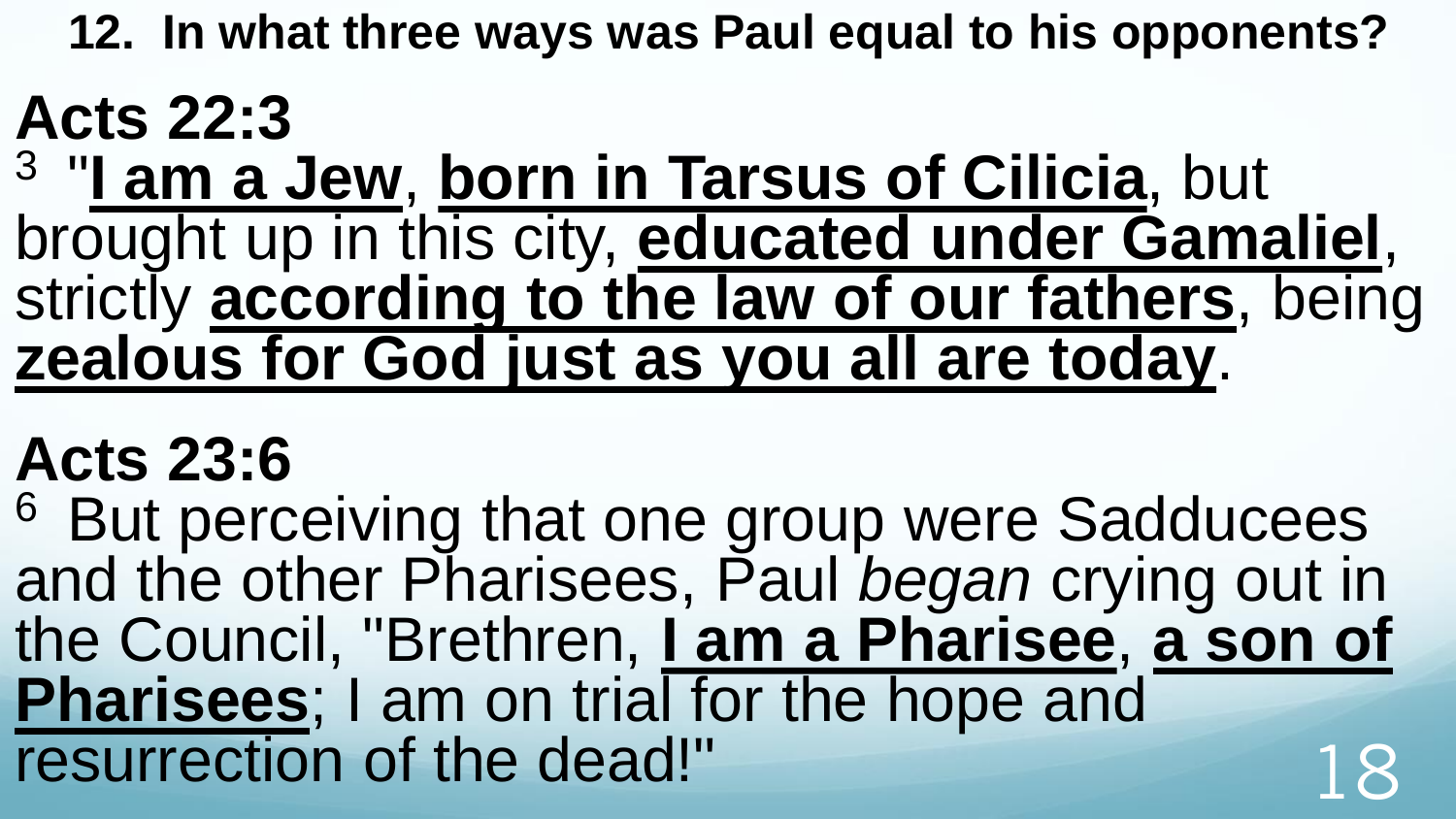### **Acts 22:3**

3 "**I am a Jew**, **born in Tarsus of Cilicia**, but brought up in this city, **educated under Gamaliel**, strictly **according to the law of our fathers**, being **zealous for God just as you all are today**.

### **Acts 23:6**

<sup>6</sup> But perceiving that one group were Sadducees and the other Pharisees, Paul *began* crying out in the Council, "Brethren, **I am a Pharisee**, **a son of Pharisees**; I am on trial for the hope and resurrection of the dead!"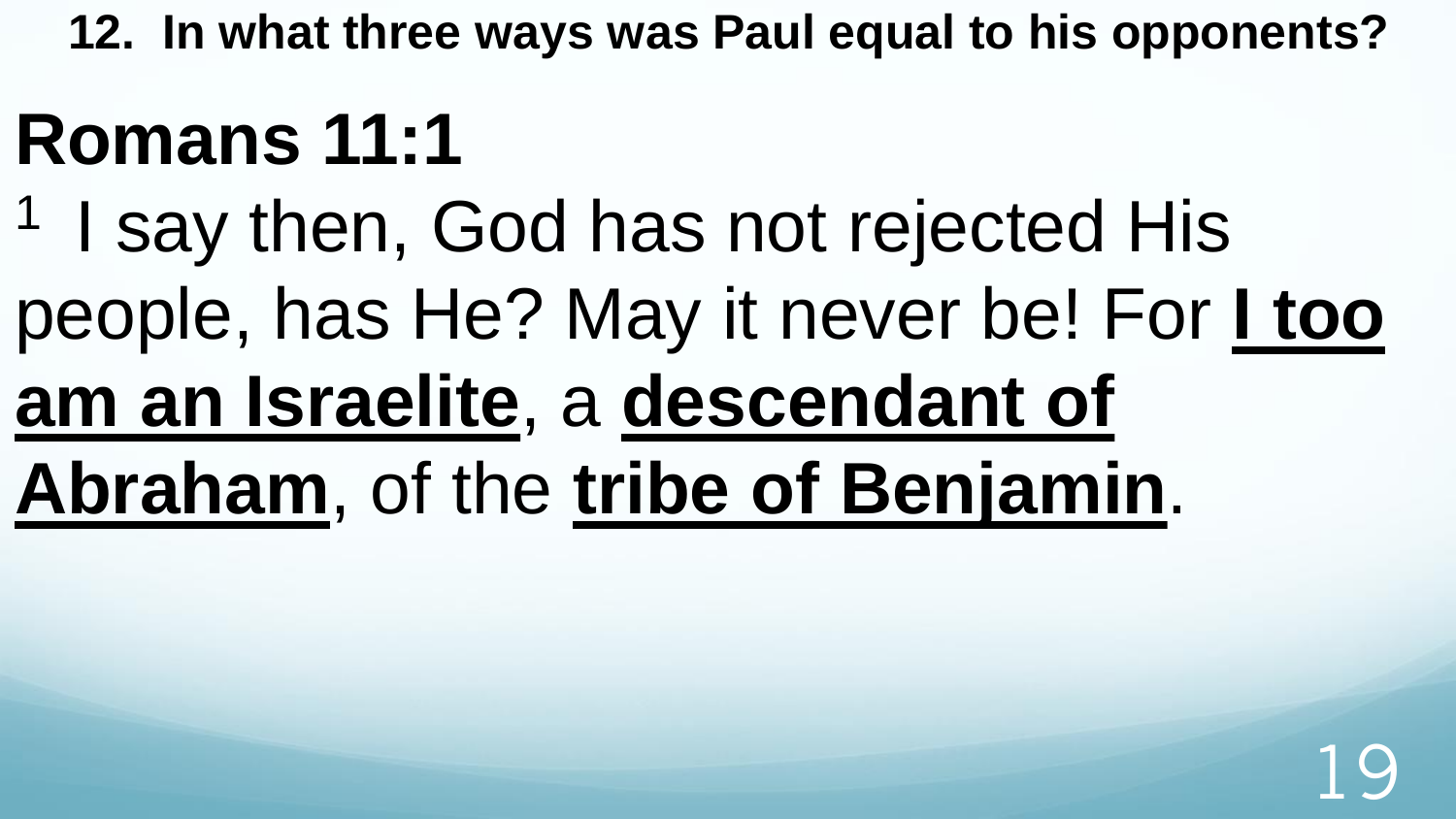# **Romans 11:1**

<sup>1</sup> I say then, God has not rejected His people, has He? May it never be! For **I too am an Israelite**, a **descendant of** 

# **Abraham**, of the **tribe of Benjamin**.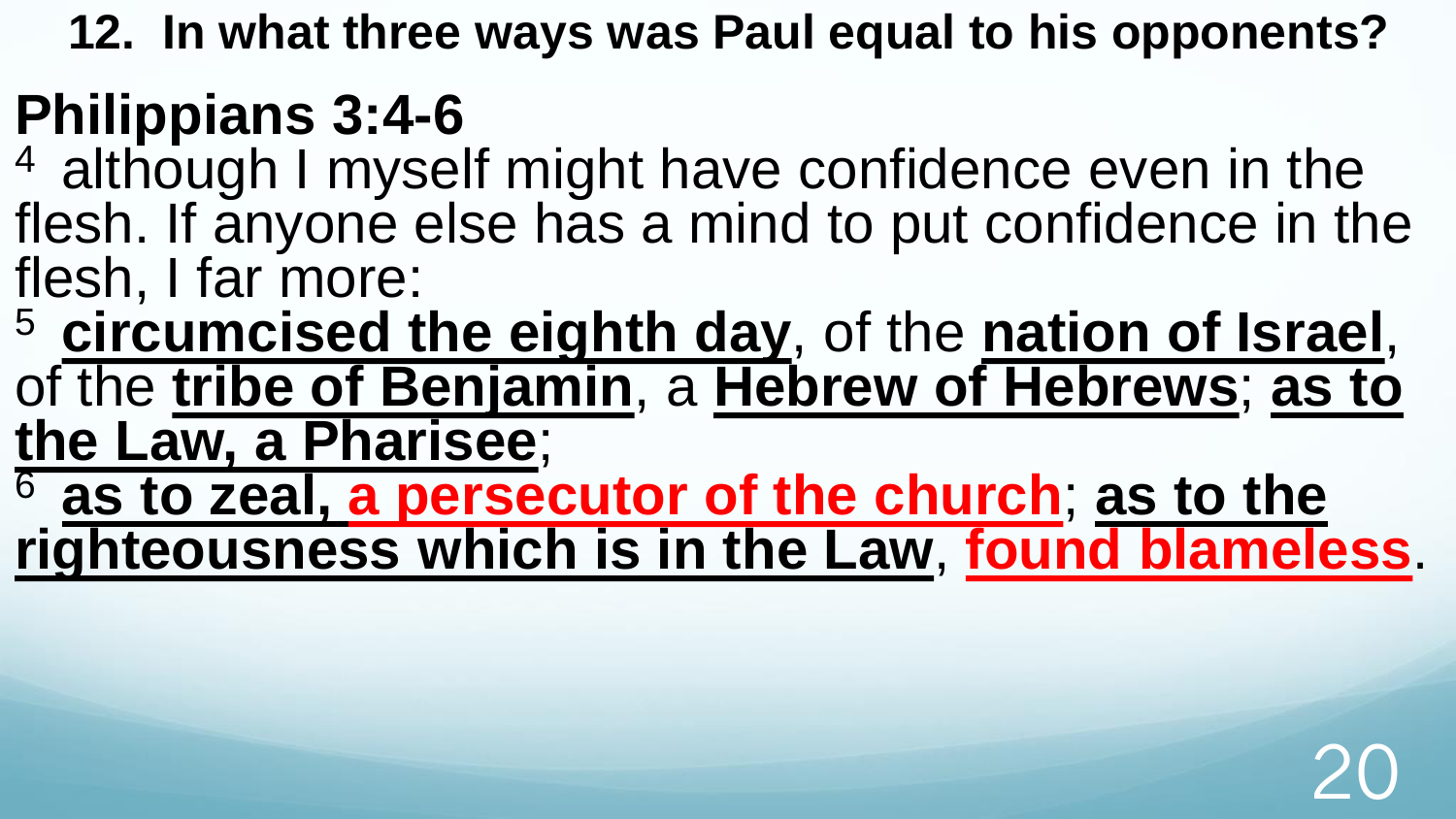#### **Philippians 3:4-6**

- 4 although I myself might have confidence even in the flesh. If anyone else has a mind to put confidence in the flesh, I far more:
- <sup>5</sup>**circumcised the eighth day**, of the **nation of Israel**, of the **tribe of Benjamin**, a **Hebrew of Hebrews**; **as to the Law, a Pharisee**;
- <sup>6</sup>**as to zeal, a persecutor of the church**; **as to the righteousness which is in the Law**, **found blameless**.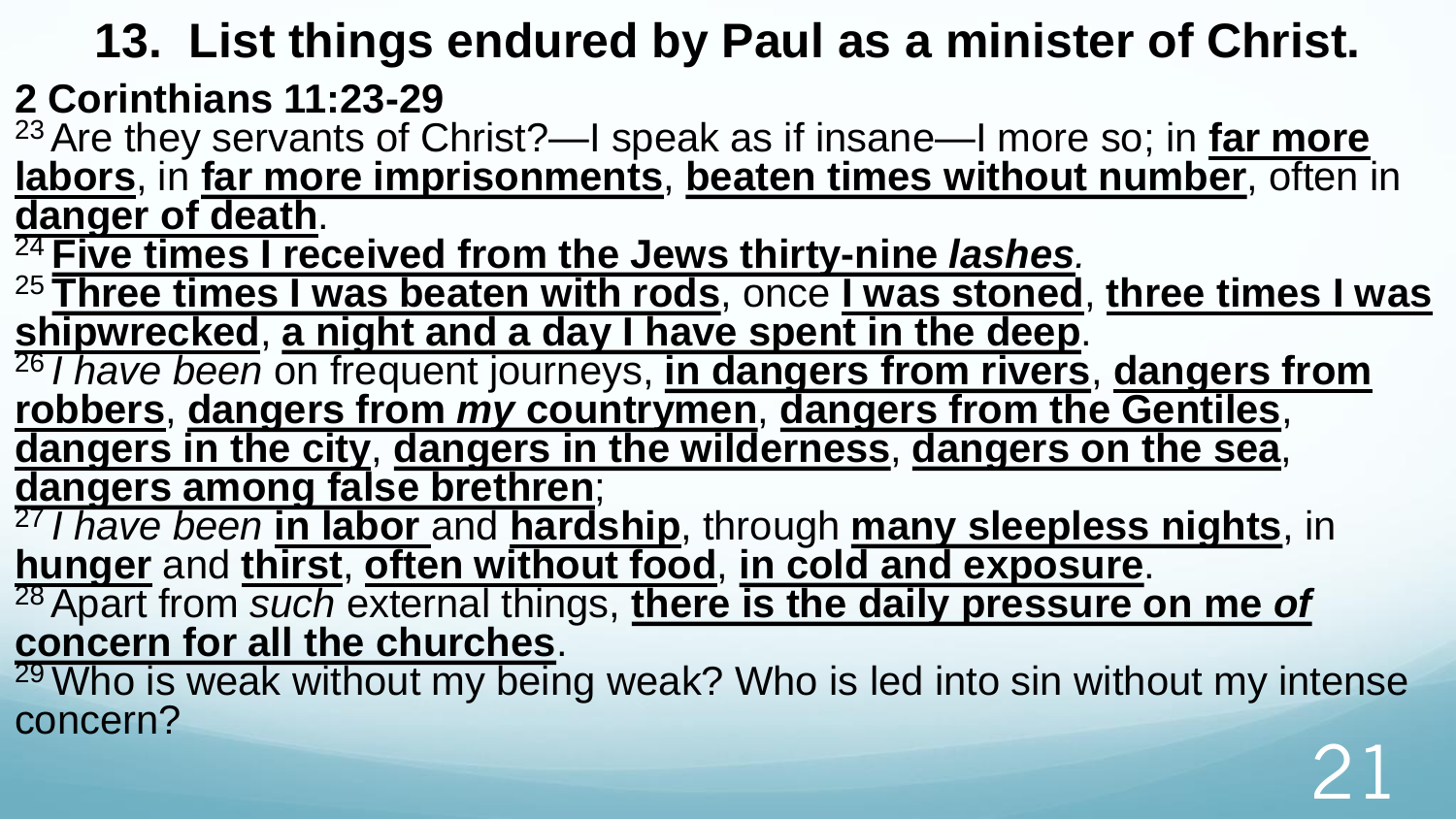#### **13. List things endured by Paul as a minister of Christ.**

#### **2 Corinthians 11:23-29**

<sup>23</sup>Are they servants of Christ?—I speak as if insane—I more so; in **far more labors**, in **far more imprisonments**, **beaten times without number**, often in **danger of death**.

<sup>24</sup>**Five times I received from the Jews thirty-nine** *lashes.*

<sup>25</sup>**Three times I was beaten with rods**, once **I was stoned**, **three times I was shipwrecked**, **a night and a day I have spent in the deep**.

<sup>26</sup>*I have been* on frequent journeys, **in dangers from rivers**, **dangers from robbers**, **dangers from** *my* **countrymen**, **dangers from the Gentiles**, **dangers in the city**, **dangers in the wilderness**, **dangers on the sea**,

**dangers among false brethren**;

<sup>27</sup>*I have been* **in labor** and **hardship**, through **many sleepless nights**, in **hunger** and **thirst**, **often without food**, **in cold and exposure**. <sup>28</sup>Apart from *such* external things, **there is the daily pressure on me** *of* **concern for all the churches**.

<sup>29</sup> Who is weak without my being weak? Who is led into sin without my intense concern? 21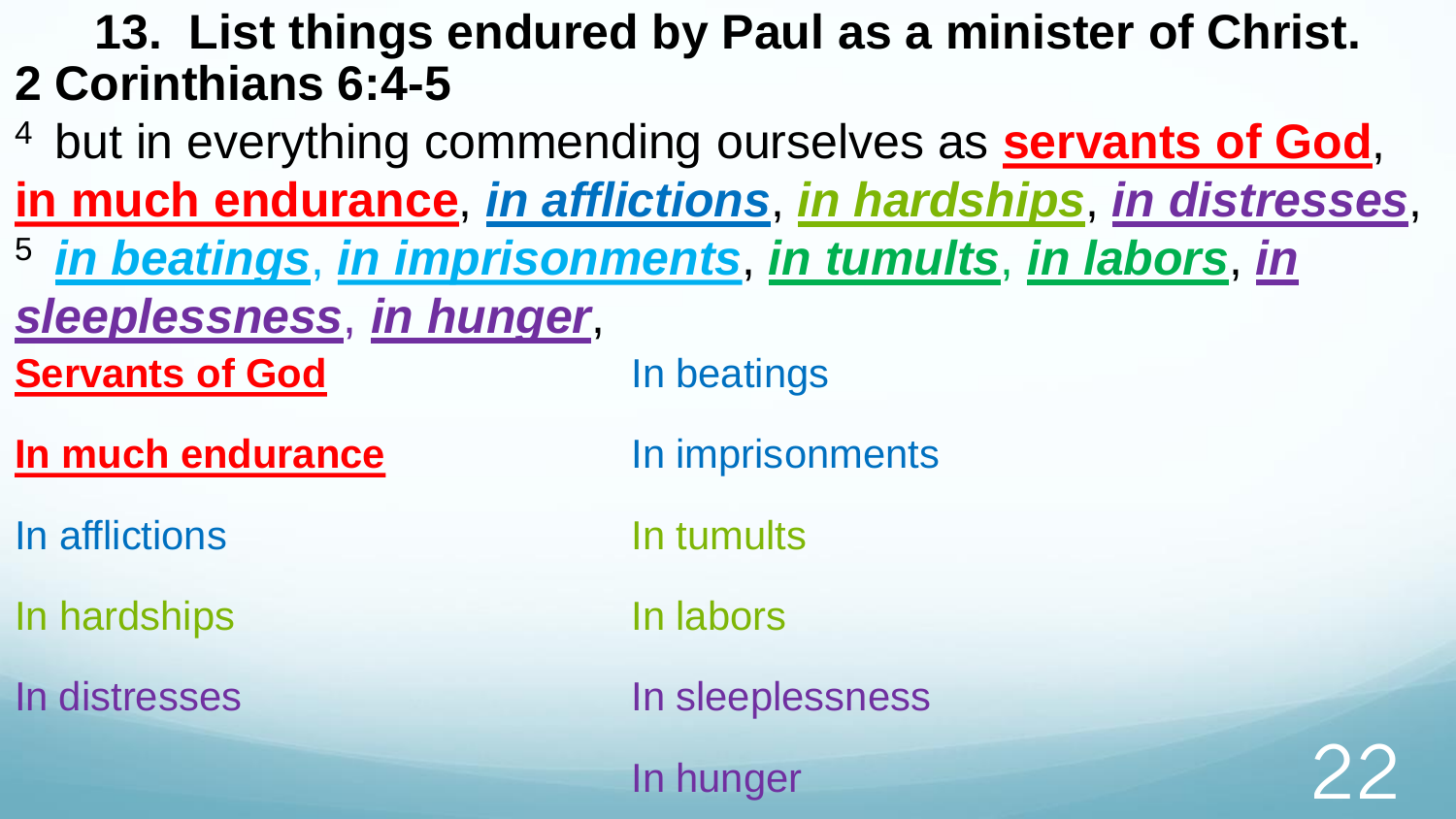#### **13. List things endured by Paul as a minister of Christ. 2 Corinthians 6:4-5**

<sup>4</sup> but in everything commending ourselves as **servants of God**, **in much endurance**, *in afflictions*, *in hardships*, *in distresses*, <sup>5</sup>*in beatings*, *in imprisonments*, *in tumults*, *in labors*, *in sleeplessness*, *in hunger*, **Servants of God In much endurance** In afflictions In hardships In distresses In beatings In imprisonments In tumults In labors In sleeplessness In hunger 22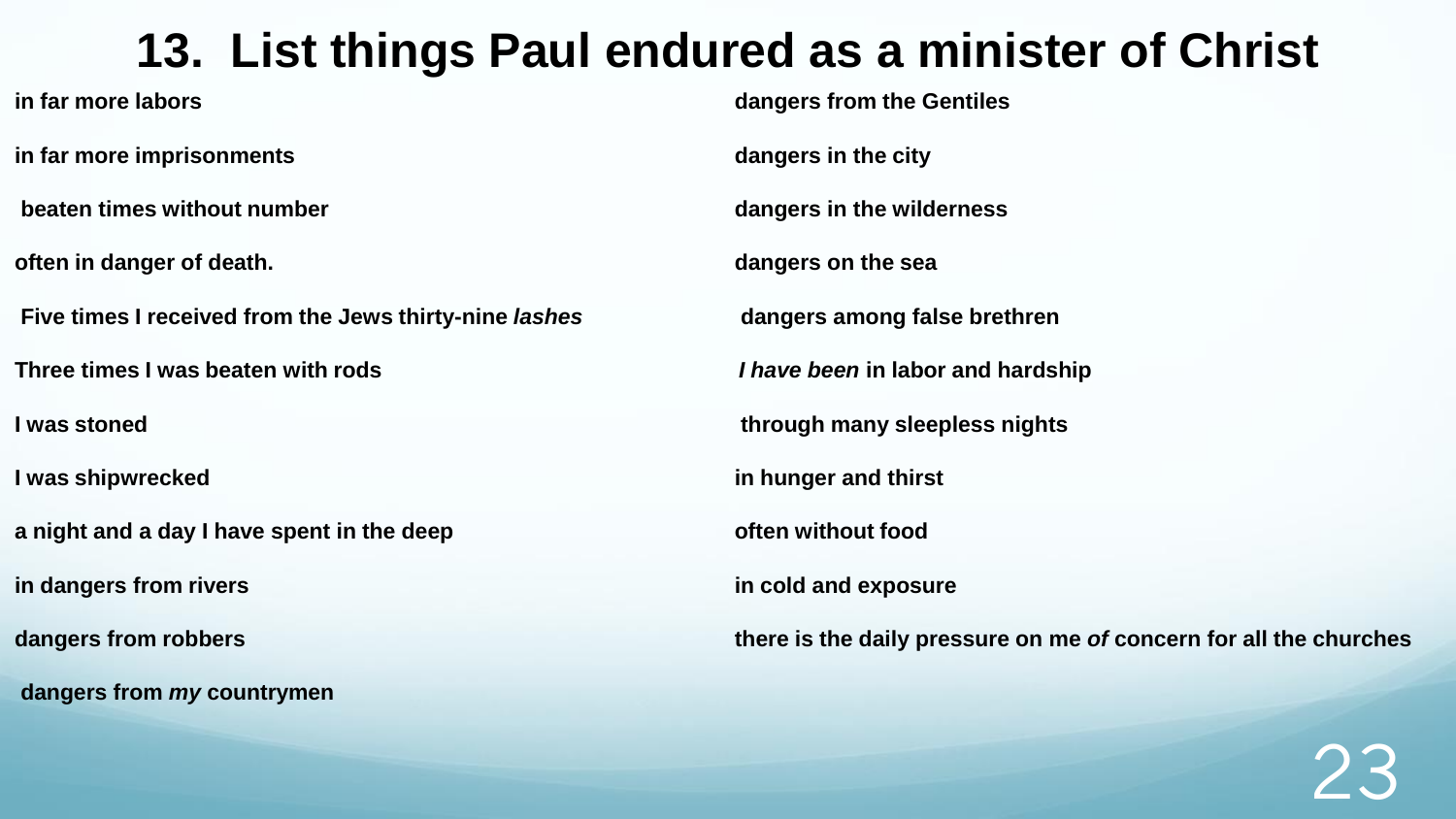#### **13. List things Paul endured as a minister of Christ**

**in far more labors** 

**in far more imprisonments**

**beaten times without number**

**often in danger of death.** 

**Five times I received from the Jews thirty-nine** *lashes*

**Three times I was beaten with rods**

**I was stoned**

**I was shipwrecked**

**a night and a day I have spent in the deep**

**in dangers from rivers**

**dangers from robbers**

**dangers from** *my* **countrymen** 

**dangers from the Gentiles**

**dangers in the city** 

**dangers in the wilderness** 

**dangers on the sea**

**dangers among false brethren** 

*I have been* **in labor and hardship**

**through many sleepless nights**

**in hunger and thirst**

**often without food**

**in cold and exposure**

**there is the daily pressure on me** *of* **concern for all the churches**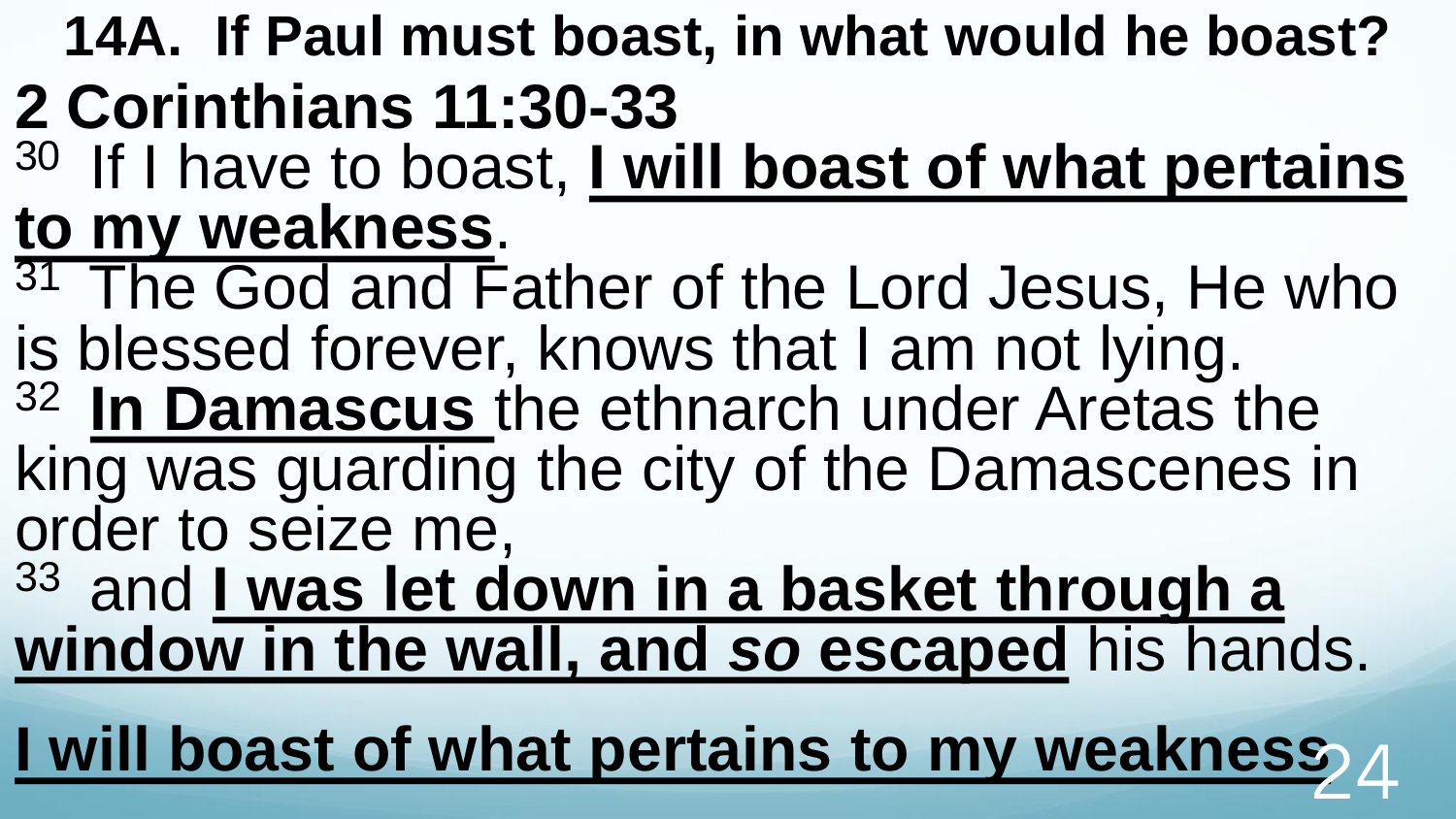**14A. If Paul must boast, in what would he boast? 2 Corinthians 11:30-33** 

- <sup>30</sup> If I have to boast, I will boast of what pertains **to my weakness**.
- <sup>31</sup> The God and Father of the Lord Jesus, He who is blessed forever, knows that I am not lying.
- <sup>32</sup>**In Damascus** the ethnarch under Aretas the king was guarding the city of the Damascenes in order to seize me,
- <sup>33</sup> and **I was let down in a basket through a window in the wall, and** *so* **escaped** his hands.

**I will boast of what pertains to my weakness**